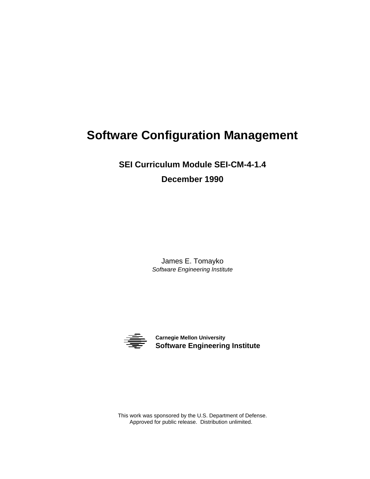**SEI Curriculum Module SEI-CM-4-1.4 December 1990**

> James E. Tomayko *Software Engineering Institute*



**Software Engineering Institute Carnegie Mellon University**

This work was sponsored by the U.S. Department of Defense. Approved for public release. Distribution unlimited.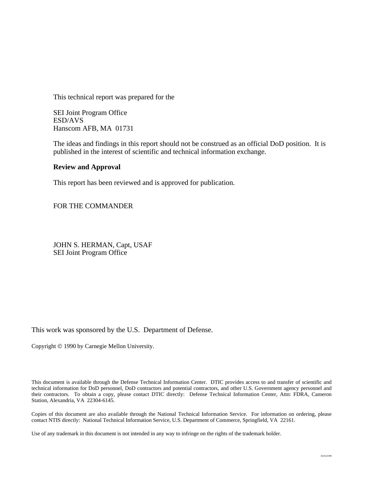This technical report was prepared for the

SEI Joint Program Office ESD/AVS Hanscom AFB, MA 01731

The ideas and findings in this report should not be construed as an official DoD position. It is published in the interest of scientific and technical information exchange.

### **Review and Approval**

This report has been reviewed and is approved for publication.

FOR THE COMMANDER

JOHN S. HERMAN, Capt, USAF SEI Joint Program Office

This work was sponsored by the U.S. Department of Defense.

Copyright © 1990 by Carnegie Mellon University.

This document is available through the Defense Technical Information Center. DTIC provides access to and transfer of scientific and technical information for DoD personnel, DoD contractors and potential contractors, and other U.S. Government agency personnel and their contractors. To obtain a copy, please contact DTIC directly: Defense Technical Information Center, Attn: FDRA, Cameron Station, Alexandria, VA 22304-6145.

Copies of this document are also available through the National Technical Information Service. For information on ordering, please contact NTIS directly: National Technical Information Service, U.S. Department of Commerce, Springfield, VA 22161.

Use of any trademark in this document is not intended in any way to infringe on the rights of the trademark holder.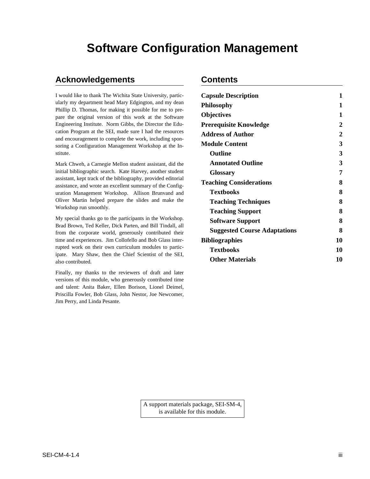## **Acknowledgements Contents**

Finally, my thanks to the reviewers of draft and later versions of this module, who generously contributed time and talent: Anita Baker, Ellen Borison, Lionel Deimel, Priscilla Fowler, Bob Glass, John Nestor, Joe Newcomer, Jim Perry, and Linda Pesante.

| I would like to thank The Wichita State University, partic-<br>ularly my department head Mary Edgington, and my dean<br>Phillip D. Thomas, for making it possible for me to pre-<br>pare the original version of this work at the Software                        | <b>Capsule Description</b>          | 1              |
|-------------------------------------------------------------------------------------------------------------------------------------------------------------------------------------------------------------------------------------------------------------------|-------------------------------------|----------------|
|                                                                                                                                                                                                                                                                   | <b>Philosophy</b>                   |                |
|                                                                                                                                                                                                                                                                   | <b>Objectives</b>                   |                |
| Engineering Institute. Norm Gibbs, the Director the Edu-                                                                                                                                                                                                          | <b>Prerequisite Knowledge</b>       | $\overline{c}$ |
| cation Program at the SEI, made sure I had the resources<br>and encouragement to complete the work, including spon-<br>soring a Configuration Management Workshop at the In-                                                                                      | <b>Address of Author</b>            | $\overline{c}$ |
|                                                                                                                                                                                                                                                                   | <b>Module Content</b>               | 3              |
| stitute.                                                                                                                                                                                                                                                          | Outline                             | 3              |
| Mark Chweh, a Carnegie Mellon student assistant, did the                                                                                                                                                                                                          | <b>Annotated Outline</b>            | 3              |
| initial bibliographic search. Kate Harvey, another student                                                                                                                                                                                                        | <b>Glossary</b>                     | 7              |
| assistant, kept track of the bibliography, provided editorial<br>assistance, and wrote an excellent summary of the Config-<br>uration Management Workshop. Allison Brunvand and<br>Oliver Martin helped prepare the slides and make the<br>Workshop run smoothly. | <b>Teaching Considerations</b>      | 8              |
|                                                                                                                                                                                                                                                                   | <b>Textbooks</b>                    | 8              |
|                                                                                                                                                                                                                                                                   | <b>Teaching Techniques</b>          | 8              |
|                                                                                                                                                                                                                                                                   | <b>Teaching Support</b>             | 8              |
| My special thanks go to the participants in the Workshop.                                                                                                                                                                                                         | <b>Software Support</b>             | 8              |
| Brad Brown, Ted Keller, Dick Parten, and Bill Tindall, all<br>from the corporate world, generously contributed their                                                                                                                                              | <b>Suggested Course Adaptations</b> | 8              |
| time and experiences. Jim Collofello and Bob Glass inter-                                                                                                                                                                                                         | <b>Bibliographies</b>               | 10             |
| rupted work on their own curriculum modules to partic-                                                                                                                                                                                                            | <b>Textbooks</b>                    | 10             |
| ipate. Mary Shaw, then the Chief Scientist of the SEI,<br>also contributed.                                                                                                                                                                                       | <b>Other Materials</b>              | 10             |

A support materials package, SEI-SM-4, is available for this module.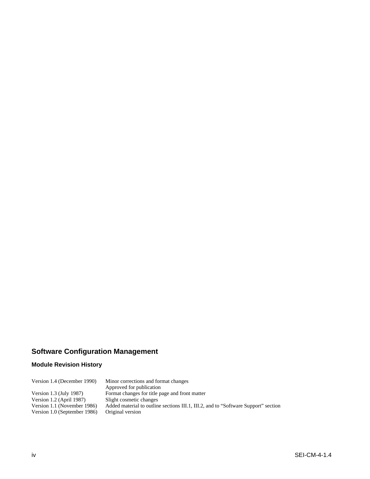## **Module Revision History**

| Version 1.4 (December 1990)  | Minor corrections and format changes                                               |
|------------------------------|------------------------------------------------------------------------------------|
|                              | Approved for publication                                                           |
| Version 1.3 (July 1987)      | Format changes for title page and front matter                                     |
| Version 1.2 (April 1987)     | Slight cosmetic changes                                                            |
| Version 1.1 (November 1986)  | Added material to outline sections III.1, III.2, and to "Software Support" section |
| Version 1.0 (September 1986) | Original version                                                                   |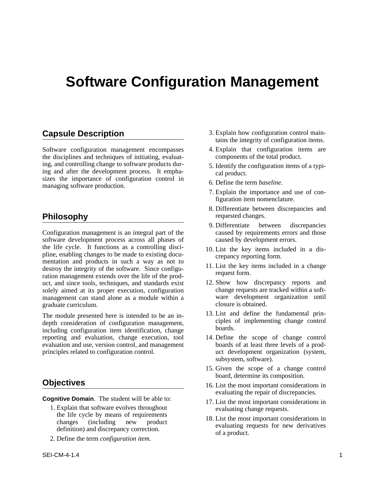Software configuration management encompasses 4. Explain that configuration items are the disciplines and techniques of initiating, evaluat-<br>components of the total product. the disciplines and techniques of initiating, evaluating, and controlling change to software products dur-<br>ing and after the development process. It empha-<br>sizes the importance of configuration control in<br>managing software production.<br>6. Define the term *baseline*.

Configuration management is an integral part of the caused by requirements errors software development process across all phases of caused by development errors. software development process across all phases of the life cycle. It functions as a controlling discithe life cycle. It functions as a controlling disci-<br>pline, enabling changes to be made to existing docu-<br>mentation and products in such a way as not to<br>destroy the integrity of the software. Since configu-<br>ration manageme uct, and since tools, techniques, and standards exist 12. Show how discrepancy reports and solely aimed at its proper execution, configuration change requests are tracked within a softsolely aimed at its proper execution, configuration change requests are tracked within a soft-<br>management can stand alone as a module within a ware development organization until management can stand alone as a module within a ware development organization until the contract organization until  $\alpha$  until  $\alpha$  until  $\alpha$  until  $\alpha$  until  $\alpha$  until  $\alpha$  until  $\alpha$  until  $\alpha$  until  $\alpha$  until  $\alpha$  un graduate curriculum.

The module presented here is intended to be an in-<br>depth consideration of configuration management,<br>including configuration item identification, change<br>boards. reporting and evaluation, change execution, tool 14. Define the scope of change control evaluation and use, version control, and management boards of at least three levels of a prodprinciples related to configuration control. uct development organization (system,

- **Cognitive Domain.** The student will be able to:<br>
1. Explain that software evolves throughout<br>
the life cycle by means of requirements<br>
changes (including new product<br>
definition) and discrepancy correction.<br>
2. Define the
	-
- **Capsule Description** 3. Explain how configuration control maintains the integrity of configuration items.
	-
	-
	-
	- 7. Explain the importance and use of configuration item nomenclature.
- 8. Differentiate between discrepancies and **Philosophy** requested changes.
	- 9. Differentiate between discrepancies<br>caused by requirements errors and those
	-
	-
	-
	-
	- subsystem, software).
	- 15. Given the scope of a change control board, determine its composition.
- **Objectives** 16. List the most important considerations in evaluating the repair of discrepancies.
	-
	-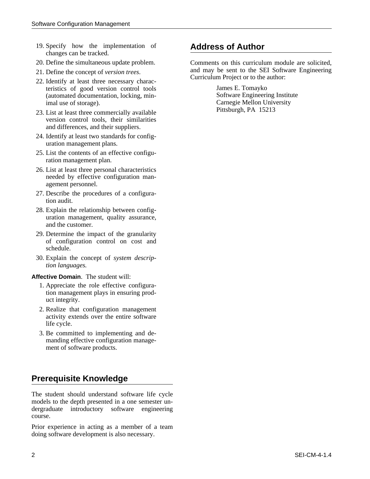- 19. Specify how the implementation of **Address of Author** changes can be tracked.
- 
- 
- teristics of good version control tools James E. Tomayko<br>
(automated documentation, locking, min-<br>
Software Engineering Institute (automated documentation, locking, min-
- 23. List at least three commercially available version control tools, their similarities and differences, and their suppliers.
- 24. Identify at least two standards for configuration management plans.
- 25. List the contents of an effective configuration management plan.
- 26. List at least three personal characteristics needed by effective configuration management personnel.
- 27. Describe the procedures of a configuration audit.
- 28. Explain the relationship between configuration management, quality assurance, and the customer.
- 29. Determine the impact of the granularity of configuration control on cost and schedule.
- 30. Explain the concept of *system description languages.*

### **Affective Domain**. The student will:

- 1. Appreciate the role effective configuration management plays in ensuring product integrity.
- 2. Realize that configuration management activity extends over the entire software life cycle.
- 3. Be committed to implementing and demanding effective configuration management of software products.

# **Prerequisite Knowledge**

The student should understand software life cycle models to the depth presented in a one semester undergraduate introductory software engineering course.

Prior experience in acting as a member of a team doing software development is also necessary.

20. Define the simultaneous update problem. Comments on this curriculum module are solicited, 21. Define the concept of *version trees*. and may be sent to the SEI Software Engineering<br>22. Identify at least three necessary charac-<br>teristics of good version control tools James E. Tomayko

imal use of storage). Carnegie Mellon University<br>
List at least three commercially evolute least three Carnegie Mellon University<br>
Pittsburgh, PA 15213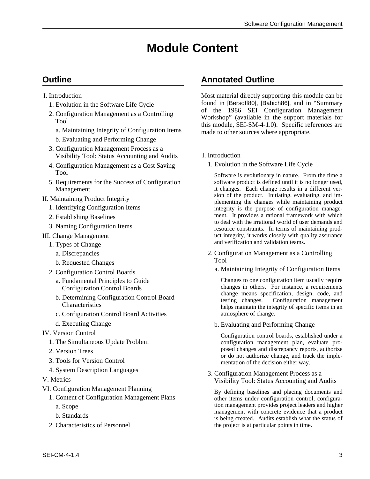# **Module Content**

- -
	- -
		- b. Evaluating and Performing Change
	- 3. Configuration Management Process as a Visibility Tool: Status Accounting and Audits I. Introduction
	- 4. Configuration Management as a Cost Saving 1. Evolution in the Software Life Cycle Tool Software is evolutionary in nature. From the time a
	- 5. Requirements for the Success of Configuration software product is defined until it is no longer used,
- 
- 
- 
- 

- 
- 
- b. Requested Changes Tool
- -
	-
	- c. Configuration Control Board Activities atmosphere of change.
	-
- -
	-
	-
	-
- 
- - -
		-
	-

## **Outline Annotated Outline**

I. Introduction Most material directly supporting this module can be 1. Evolution in the Software Life Cycle found in [Bersoff80], [Babich86], and in "Summary<br>
of the 1986 SEI Configuration Management 2. Configuration Management as a Controlling<br>Tool and the support materials for<br>a. Maintaining Integrity of Configuration Items<br>a. Maintaining Integrity of Configuration Items<br>and to other sources where appropriate.

Management it changes. Each change results in a different ver-<br>
Sintaining Practicular December 1994 of the product. Initiating, evaluating, and im-II. Maintaining Product Integrity<br>
1. Identifying Configuration Items integrity plementing the changes while maintaining product<br>
1. Identifying Configuration Items integrity is the purpose of configuration manage-2. Establishing Baselines 1. The irrational framework with which 2. Naming Configuration Items resource constraints. In terms of maintaining prod-III. Change Management uct integrity, it works closely with quality assurance and verification and validation teams. 1. Types of Change

- a. Discrepancies 2. Configuration Management as a Controlling
- a. Maintaining Integrity of Configuration Items 2. Configuration Control Boards

a. Fundamental Principles to Guide Changes to one configuration item usually require Configuration Control Boards changes in others. For instance, a requirements change means specification, design, code, and b. Determining Configuration Control Board testing changes. Configuration, design, code, and testing changes. Configuration management helps maintain the integrity of specific items in an

d. Executing Change b. Evaluating and Performing Change

IV. Version Control<br>
1. The Simultaneous Update Problem<br>
1. The Simultaneous Update Problem<br>
1. The Simultaneous Update Problem<br>
1. The Simultaneous Update Problem<br>
1. The Simultaneous Update Problem<br>
1. The Simultaneous U configuration management plan, evaluate proposed changes and discrepancy reports, authorize 2. Version Trees or do not authorize change, and track the imple-<br>3. Tools for Version Control mentation of the decision either way.

4. System Description Languages 3. Configuration Management Process as a<br>V. Metrics Visibility Tool: Status Accounting and Audits

VI. Configuration Management Planning<br>1. Content of Configuration Management Plans<br>1. Content of Configuration Management Plans<br>1. Content of Configuration Management Plans other items under configuration control, configuraa. Scope tion management provides project leaders and higher management with concrete evidence that a product b. Standards<br>
is being created. Audits establish what the status of<br>
2. Characteristics of Personnel<br>
2. Characteristics of Personnel<br>
2. Characteristics of Personnel the project is at particular points in time.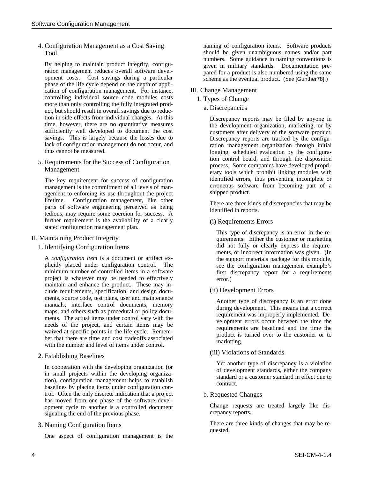By helping to maintain product integrity, configured and humbers. Some guidance in naming conventions is<br>ration management reduces overall software devel-<br>opment costs. Cost savings during a particular phase of the life cy cation of configuration management. For instance, III. Change Management controlling individual source code modules costs 1. Types of Change more than only controlling the fully integrated prod- a. Discrepancies a. Universal savings due to reduction in side effects from individual changes. At this Discrepancy reports may be filed by anyone in the hevelopment organization marketing or by time, however, there are no quantitative measures the development organization, marketing, or by sufficiently well developed to document the cost environmers after delivery of the software product savings. This is largely because the losses due to Discrepancy reports are tracked by the configu-<br>lack of configuration management do not occur, and the configuration management organization through initial lack of configuration management do not occur, and ration management organization through initial<br>thus cannot be measured.

The key requirement for success of configuration identified errors, thus preventing incomplete or management is the commitment of all levels of man-<br>
erroneous software from becoming part of a management is the commitment of all levels of man-<br>agement to enforcing its use throughout the project shipped product. agement to enforcing its use throughout the project lifetime. Configuration management, like other<br>
parts of software engineering perceived as being<br>
tedious, may require some coercion for success. A<br>
dentified in reports. further requirement is the availability of a clearly (i) Requirements Errors stated configuration management plan.

A *configuration item* is a document or artifact ex-<br>plicitly placed under configuration control. The see the configuration management example's plicitly placed under configuration control. The see the configuration management example's minimum number of controlled items in a software first discrepancy report for a requirements project is whatever may be needed to effectively error.) maintain and enhance the product. These may include requirements, specification, and design docu- (ii) Development Errors ments, source code, test plans, user and maintenance<br>manuals, interface control documents, memory<br>maps, and others such as procedural or policy docu-<br>ments. The actual items under control vary with the<br>needs of the project

In cooperation with the developing organization (or<br>
in small projects within the developing organiza-<br>
tion), configuration management helps to establish<br>
baselines by placing items under configuration con-<br>
baselines by trol. Often the only discrete indication that a project b. Requested Changes has moved from one phase of the software development cycle to another is a controlled document<br>signaling the end of the previous phase example of the previous phase example of the previous phase example of<br>crepancy reports. signaling the end of the previous phase.

One aspect of configuration management is the

4. Configuration Management as a Cost Saving naming of configuration items. Software products Tool should be given unambiguous names and/or part numbers. Some guidance in naming conventions is

- 
- 

customers after delivery of the software product. logging, scheduled evaluation by the configura-<br>tion control board, and through the disposition 5. Requirements for the Success of Configuration process. Some companies have developed propri-<br>
The key requirement for success of configuration dentified errors, thus preventing incomplete or

II. Maintaining Product Integrity<br>II. Maintaining Product Integrity<br>II. Maintaining Product Integrity quirements. Either the customer or marketing 1. Identifying Configuration Items did not fully or clearly express the requirements, or incorrect information was given. (In first discrepancy report for a requirements

(iii) Violations of Standards 2. Establishing Baselines

3. Naming Configuration Items There are three kinds of changes that may be requested.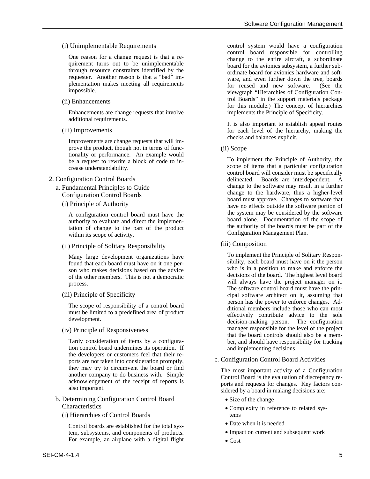Enhancements are change requests that involve implements the Principle of Specificity. additional requirements.<br>
It is also important to establish appeal routes

checks and balances explicit. Improvements are change requests that will improve the product, though not in terms of func-<br>tionality or performance. An example would

- - -

authority to evaluate and direct the implemen-<br>tation of change to the part of the product<br>the authority of the boards must be part of the within its scope of activity. Configuration Management Plan.

(iii) Composition (ii) Principle of Solitary Responsibility

found that each board must have on it one per-<br>son who is in a position to make and enforce the<br>person who makes decisions based on the advice decisions of the board. The highest level board<br>of the other members. This is not a democratic will always have the project manager on it.

Tardy consideration of items by a configura- ber, and should have responsibility for tracking tion control board undermines its operation. If and implementing decisions.<br>the developers or customers feel that their reports are not taken into consideration promptly, execution Configuration Control Board Activities

- b. Determining Configuration Control Board Size of the change Characteristics • Complexity in reference to related sys-
	- (i) Hierarchies of Control Boards tems

• Date when it is needed control boards are established for the total sys-<br> **•** Date when it is needed<br>
• Impact on current and subsequent work<br>
• Impact on current and subsequent work tem, subsystems, and components of products. For example, an airplane with a digital flight  $\bullet$  Cost

(i) Unimplementable Requirements control system would have a configuration control system would have a configuration control board responsible for controlling One reason for a change request is that a recontrol board responsible for controlling<br>quirement turns out to be unimplementable<br>through resource constraints identified by the ordinate board for avionics subsystem, a furthe through resource constraints identified by the<br>requester. Another reason is that a "bad" im-<br>plementation makes meeting all requirements<br>impossible. The variable ware, and even further down the tree, boards<br>for reused and trol Boards" in the support materials package (ii) Enhancements for this module.) The concept of hierarchies

(iii) Improvements for each level of the hierarchy, making the

be a request to rewrite a block of code to in-<br>
To implement the Principle of Authority, the<br>
crease understandability.<br>
2. Configuration Control Boards<br>
2. Configuration Control Boards<br>
2. Configuration Control Boards<br>
2. delineated. Boards are interdependent. A a. Fundamental Principles to Guide<br>
Configuration Control Boards<br>
(i) Principle of Authority<br>
(i) Principle of Authority<br>
(i) Principle of Authority<br>
(i) Principle of Authority<br>
(i) Principle of Authority<br>
(i) Principle of A configuration control board must have the the system may be considered by the software<br>authority to evaluate and direct the implementation of the scope of

Many large development organizations have To implement the Principle of Solitary Respon-<br>found that each board must have on it one per<br>sibility, each board must have on it the person process.<br>The software control board must have the prin-(iii) Principle of Specificity cipal software architect on it, assuming that person has the power to enforce changes. Ad-The scope of responsibility of a control board<br>must be limited to a predefined area of product<br>development.<br>decision-making person. The configuration<br>decision-making person. The configuration (iv) Principle of Responsiveness manager responsible for the level of the project that the board controls should also be a mem-

they may try to circumvent the board or find<br>another company to do business with. Simple<br>acknowledgement of the receipt of reports is<br>also important.<br>Simple<br>ports and requests for changes. Key factors con-<br>sidered by a boa

- 
- 
- 
- 
-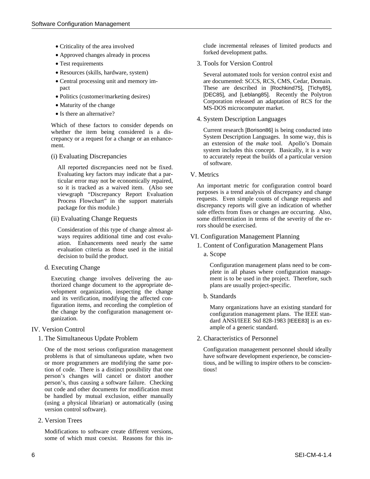- 
- Approved changes already in process
- 
- 
- 
- 
- 
- 

Which of these factors to consider depends on

All reported discrepancies need not be fixed. Evaluating key factors may indicate that a par-<br>ticular error may not be economically repaired,

Consideration of this type of change almost always requires additional time and cost evalu-<br>ation. Enhancements need nearly the same<br> $\frac{1 \text{ Content of Confionaction} }{1 \text{Content of Confionaction} }$ ation. Enhancements need nearly the same<br>evaluation criteria as those used in the initial<br>decision to build the product<br>a. Scope decision to build the product.

Executing change involves delivering the au-<br>
ment is to be used in the project. Therefore, such thorized change document to the appropriate de- plans are usually project-specific. velopment organization, inspecting the change and its verification, modifying the affected configuration items, and recording the completion of<br>the change by the configuration management or-<br>ganization.<br>dard ANSI/IEEE Std 828-1983 [IEEE83] is an ex-

1. The Simultaneous Update Problem 2. Characteristics of Personnel

One of the most serious configuration management Configuration management personnel should ideally problems is that of simultaneous update, when two have software development experience, be conscienor more programmers are modifying the same por- tious, and be willing to inspire others to be consciention of code. There is a distinct possibility that one tious! person's changes will cancel or distort another person's, thus causing a software failure. Checking out code and other documents for modification must be handled by mutual exclusion, either manually (using a physical librarian) or automatically (using version control software).

2. Version Trees

Modifications to software create different versions, some of which must coexist. Reasons for this in-

• Criticality of the area involved clude incremental releases of limited products and forked development paths.

• Test requirements 3. Tools for Version Control

• Resources (skills, hardware, system) Several automated tools for version control exist and • Central processing unit and memory im- are documented: SCCS, RCS, CMS, Cedar, Domain. pact These are described in [Rochkind75], [Tichy85], • Politics (customer/marketing desires) [DEC85], and [Leblang85]. Recently the Polytron • Maturity of the change MS-DOS microcomputer market. • Is there an alternative?

4. System Description Languages

whether the item being considered is a dis-<br>Current research [Borison86] is being conducted into System Description Languages. In some way, this is crepancy or a request for a change or an enhance-<br>System Description Languages. In some way, this is extension of the *make* tool. Apollo's Domain ment. system includes this concept. Basically, it is a way (i) Evaluating Discrepancies to accurately repeat the builds of a particular version of software.

icular error may not be economically repaired,<br>so it is tracked as a waived item. (Also see <br>viewgraph "Discrepancy Report Evaluation purposes is a trend analysis of discrepancy and change<br>process Flowchart" in the support (ii) Evaluating Change Requests some differentiation in terms of the severity of the er-<br>
contained a severity of the er-<br>
contained be exercised.

- -

d. Executing Change Configuration management plans need to be com-<br>plete in all phases where configuration manage-

ample of a generic standard. IV. Version Control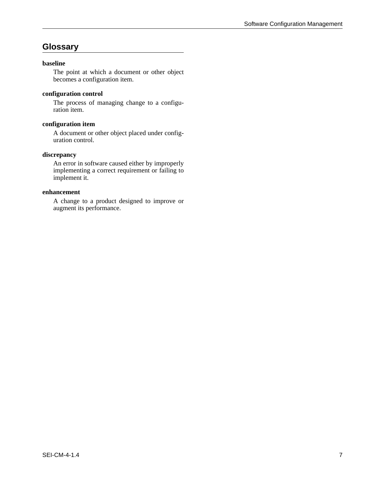## **Glossary**

### **baseline**

The point at which a document or other object becomes a configuration item.

### **configuration control**

The process of managing change to a configuration item.

### **configuration item**

A document or other object placed under configuration control.

### **discrepancy**

An error in software caused either by improperly implementing a correct requirement or failing to implement it.

### **enhancement**

A change to a product designed to improve or augment its performance.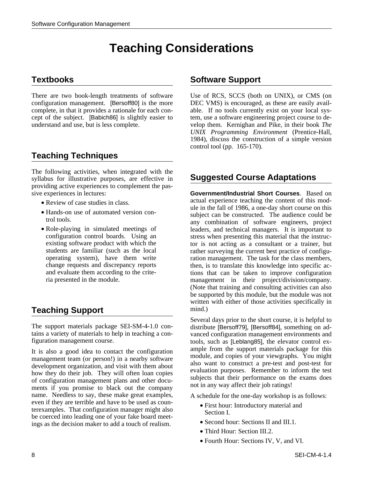# **Teaching Considerations**

There are two book-length treatments of software Use of RCS, SCCS (both on UNIX), or CMS (on configuration management. [Bersoff80] is the more DEC VMS) is encouraged, as these are easily availcomplete, in that it provides a rationale for each con- able. If no tools currently exist on your local sys-

# **Teaching Techniques**

The following activities, when integrated with the syllabus for illustrative purposes, are effective in **Suggested Course Adaptations** providing active experiences to complement the passive experiences in lectures: **Government/Industrial Short Courses**. Based on

- 
- 
- 

# **Teaching Support** mind.)

The support materials package SEI-SM-4-1.0 con-<br>tains a variety of materials to help in teaching a con-<br>vanced configuration management environments and

It is also a good idea to contact the configuration<br>
management team (or person!) in a nearby software<br>
development organization, and visit with them about<br>
how they do their job. They will often loan copies<br>
of configurat name. Needless to say, these make great examples, A schedule for the one-day workshop is as follows: even if they are terrible and have to be used as coun-<br>terexamples. That configuration manager might also<br>be coerced into leading one of your fake board meet-<br>ings as the decision maker to add a touch of realism.<br>Second ho

## **Textbooks** Software Support

cept of the subject. [Babich86] is slightly easier to tem, use a software engineering project course to deunderstand and use, but is less complete. velop them. Kernighan and Pike, in their book *The UNIX Programming Environment* (Prentice-Hall, 1984), discuss the construction of a simple version control tool (pp. 165-170).

• Review of case studies in class.<br>
ule in the fall of 1986, a one-day short course on this Mod-• Hands-on use of automated version con-<br>trol tools.<br>• Role-playing in simulated meetings of<br>• Role-playing in simulated meetings of<br>teaders, and technical managers. It is important to Frank Role-playing in simulated meetings of leaders, and technical managers. It is important to configuration control boards. Using an stress when presenting this material that the instrucconfiguration control boards. Using an stress when presenting this material that the instruceusiting software product with which the tor is not acting as a consultant or a trainer, but tor is not acting as a consultant or a trainer, but students are familiar (such as the local rather surveying the current best practice of configu-<br>operating system), have them write ration management. The task for the class members. ration management. The task for the class members, change requests and discrepancy reports then, is to translate this knowledge into specific ac-<br>and evaluate them according to the crite-<br>tions that can be taken to improve configuration and evaluate them according to the crite-<br>
ria presented in the module. The module management in their project/division/company. management in their project/division/company. (Note that training and consulting activities can also be supported by this module, but the module was not written with either of those activities specifically in

Several days prior to the short course, it is helpful to tains a variety of materials to help in teaching a con-<br>
figuration management environments and<br>
tools, such as [Leblang85], the elevator control extools, such as [Leblang85], the elevator control ex-

- 
- 
- Third Hour: Section III.2.
- Fourth Hour: Sections IV, V, and VI.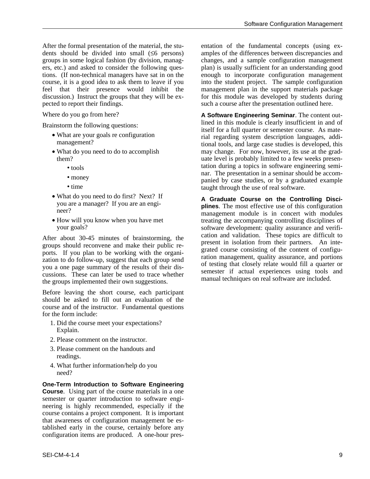After the formal presentation of the material, the stu-<br>dents should be divided into small  $(56 \text{ persons})$  amples of the differences between discrepancies and dents should be divided into small  $(≤6$  persons) groups in some logical fashion (by division, manag- changes, and a sample configuration management ers, etc.) and asked to consider the following ques- plan) is usually sufficient for an understanding good tions. (If non-technical managers have sat in on the enough to incorporate configuration management course, it is a good idea to ask them to leave if you into the student project. The sample configuration feel that their presence would inhibit the management plan in the support materials package feel that their presence would inhibit the discussion.) Instruct the groups that they will be expected to report their findings. Such a course after the presentation outlined here.

- 
- -
	-
	-
- 
- 

After about 30-45 minutes of brainstorming, the<br>groups should reconvene and make their public re-<br>ports. If you plan to be working with the organi-<br>zation to do follow-up, suggest that each group send<br>you a one page summar

Before leaving the short course, each participant should be asked to fill out an evaluation of the course and of the instructor. Fundamental questions for the form include:

- 1. Did the course meet your expectations? Explain.
- 2. Please comment on the instructor.
- 3. Please comment on the handouts and readings.
- 4. What further information/help do you need?

**One-Term Introduction to Software Engineering Course**. Using part of the course materials in a one semester or quarter introduction to software engineering is highly recommended, especially if the course contains a project component. It is important that awareness of configuration management be established early in the course, certainly before any configuration items are produced. A one-hour presfor this module was developed by students during

Where do you go from here? **A Software Engineering Seminar**. The content out-Brainstorm the following questions:<br>
• What are your goals re configuration<br>
management?<br>
• What are your goals re configuration<br>
management?<br>
• What are your goals re configuration<br>
in this module is clearly insufficient • What do you need to do to accomplish may change. For now, however, its use at the gradthem? uate level is probably limited to a few weeks presen- • tools tation during a topics in software engineering semi-<br>nar. The presentation in a seminar should be accom-• money<br>• money panied by case studies, or by a graduated example<br>• time<br>• taught through the use of real software taught through the use of real software.

• What do you need to do first? Next? If<br>you are a manager? If you are an engi-<br>neer?<br>How will you know when you have met<br>treating the accompanying controlling disciplines of<br>treating the accompanying controlling disciplin • How will you know when you have met treating the accompanying controlling disciplines of software development: quality assurance and verifi-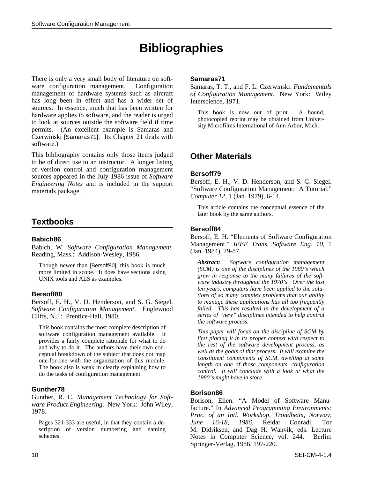# **Bibliographies**

There is only a very small body of literature on soft- **Samaras71** ware configuration management. Configuration Samaras, T. T., and F. L. Czerwinski. *Fundamentals* management of hardware systems such as aircraft *of Configuration Management*. New York: Wiley has long been in effect and has a wider set of Interscience, 1971.<br>sources. In essence, much that has been written for hardware applies to software, and the reader is urged<br>to look at sources outside the software field if time<br>permits. (An excellent example is Samaras and Czerwinski [Samaras71]. Its Chapter 21 deals with software.)

This bibliography contains only those items judged **Other Materials** to be of direct use to an instructor. A longer listing of version control and configuration management<br>sources appeared in the July 1986 issue of *Software*<br>Engineering *Notes* and is included in the support Bersoff, E. H., V. D. Henderson, and S. G. Siegel. materials package. "Software Configuration Management: A Tutorial."

## **Textbooks**

Bersoff, E. H., V. D. Henderson, and S. G. Siegel. *to manage these applications has all too frequently*<br>Software Configuration Management. Englewood failed. This has resulted in the development of a *Software Configuration Management.* Englewood Cliffs, N.J.: Prentice-Hall, 1980. *series of "new" disciplines intended to help control*

*Computer 12*, 1 (Jan. 1979), 6-14.

This article contains the conceptual essence of the later book by the same authors.

### **Bersoff84**

**Babich86**<br>Bersoff, E. H. "Elements of Software Configuration<br>Babich, W. Software Configuration Management. Management." IEEE Trans. Software Eng. 10, 1<br>Reading, Mass.: Addison-Wesley, 1986. (Jan. 1984), 79-87.

Though newer than [Bersoff80], this book is much<br>more limited in scope. It does have sections using<br>UNIX tools and ALS as examples.<br>UNIX tools and ALS as examples.<br>The section of the soft-<br>ware industry throughout the 1970 *ten years, computers have been applied to the solu-* **Bersoff80** *tions of so many complex problems that our ability the software process.*

This book contains the most complete description of<br>software configuration management available. It<br>provides a fairly complete rationale for what to do<br>and why to do it. The authors have their own con-<br>ceptual breakdown of

**Gunther78**<br>Gunther, R. C. Management Technology for Soft-<br>ware Product Engineering. New York: John Wiley,<br>1978.<br>*Proc. of an Intl. Workshop, Trondheim, Norway,* Pages 321-333 are useful, in that they contain a de- *June 16-18, 1986*, Reidar Conradi, Tor scription of version numbering and naming M. Didriksen, and Dag H. Wanvik, eds. Lecture<br>
Schemes. Notes in Computer Science vol 244 Berlin: Notes in Computer Science, vol. 244. Berlin: Springer-Verlag, 1986, 197-220.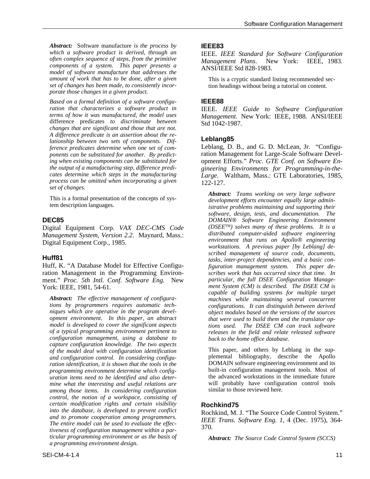*Abstract:* Software manufacture *is the process by* **IEEE83** *which a software product is derived, through an* **IEEE83** which a software product is derived, through an<br>
often complex sequence of steps, from the primitive Management Plans. New York: IEEE, 1983.<br>
components of a system. This paper presents a ANSI/IEEE Std 828-1983.<br>
model of *amount of work that has to be done, after a given* This is a cryptic standard listing recommended sec-<br>set of changes has been made, to consistently incor-<br>tion headings without being a tutorial on content. *porate those changes in a given product.*

*Based on a formal definition of a software configu-* **IEEE88** *changes that are significant and those that are not. A difference predicate is an assertion about the re-* **Leblang85** *lationship between two sets of components. Difset of changes.*

Digital Equipment Corp. *VAX DEC-CMS Code (DSEE*™*) solves many of these problems. It is a*

Huff, K. "A Database Model for Effective Configu- *figuration management system. This paper de*ration Management in the Programming Environ-<br>
ment." *Proc.* 5th Intl. Conf. Software Eng. New particular, the full DSEE Configuration Management." *Proc. 5th Intl. Conf. Software Eng.* New York: IEEE, 1981, 54-61. *ment System (CM) is described. The DSEE CM is* 

*Abstract: The effective management of configura- machines while maintaining several concurrent tions by programmers requires automatic tech- configurations. It can distinguish between derived opment environment. In this paper, an abstract that were used to build them and the translator opof a typical programming environment pertinent to releases in the field and relate released software configuration management, using a database to back to the home office database. capture configuration knowledge. The two aspects of the model deal with configuration identification* This paper, and others by Leblang in the sup*and configuration control.* In considering configu-<br>
plemental bibliography, describe the Apollo<br>
proton identification it is shown that the tools in the DOMAIN software engineering environment and its *ration identification, it is shown that the tools in the* DOMAIN software engineering environment and its programming environment determine which configuration configuration management tools. Most of *programming environment determine which config-* built-in configuration management tools. Most of uration items need to be identified and also deter-<br>wration items need to be identified and also deter*uration items need to be identified and also deter-* the advanced workstations in the immediate future<br>*mine what the interesting and useful relations are* will probably have configuration control tools *mine what the interesting and useful relations are* will probably have configuration among those *items* In considering configuration similar to those reviewed here. *among those items. In considering configuration control, the notion of a workspace, consisting of certain modification rights and certain visibility* **Rochkind75**<br>*into the database, is developed to prevent conflict* **Rochlind M** into the aatabase, is aeveloped to prevent conflict<br>and to promote cooperation among programmers.<br>The entire model can be used to evaluate the effec-<br>tiveness of configuration management within a par-<br>370. *ticular programming environment or as the basis of Abstract: The Source Code Control System (SCCS) a programming environment design.*

tion headings without being a tutorial on content.

*ration that characterizes a software product in* IEEE. *IEEE Guide to Software Configuration terms of how it was manufactured, the model uses Management*. New York: IEEE, 1988. ANSI/IEEE difference predicates *to discriminate between* Std 1042-1987.

*ference predicates determine when one set of com-* Leblang, D. B., and G. D. McLean, Jr. "Configu*ponents can be substituted for another. By predict-* ration Management for Large-Scale Software Develing when existing components can be substituted for opment Efforts." *Proc. GTE Conf. on Software Entimenting* the<br> *ine output of a manufacturing step, difference predi- pineering Environments for Programming-in-thethe output of a manufacturing step, difference predi- gineering Environments for Programming-in-the-cates determine which steps in the manufacturing Large* Waltham Mass **CTE Laboratories** 1985 *cates determine which steps in the manufacturing Large.* Waltham, Mass.: GTE Laboratories, 1985, *process can be omitted when incorporating a given* 122-127.

This is a formal presentation of the concepts of sys-<br>tem description languages.<br>tem description languages.<br>istrative problems maintaining and supporting their *software, design, tests, and documentation. The* **DEC85** *DOMAIN*® *Software Engineering Environment*<br>Digital Foujnment Corn *VAX DEC-CMS Code (DSEE<sup>TM</sup>) solves many of these problems. It is a* Management System, Version 2.2. Maynard, Mass.: alternated computer-aided software engineering<br>Digital Equipment Corp., 1985.<br>workstations. A previous paper [by Leblang] de*scribed management of source code, documents,* **Huff81** *tasks, inter-project dependencies, and a basic concapable of building systems for multiple target phiect modules based on the versions of the sources tions used. The DSEE CM can track software*